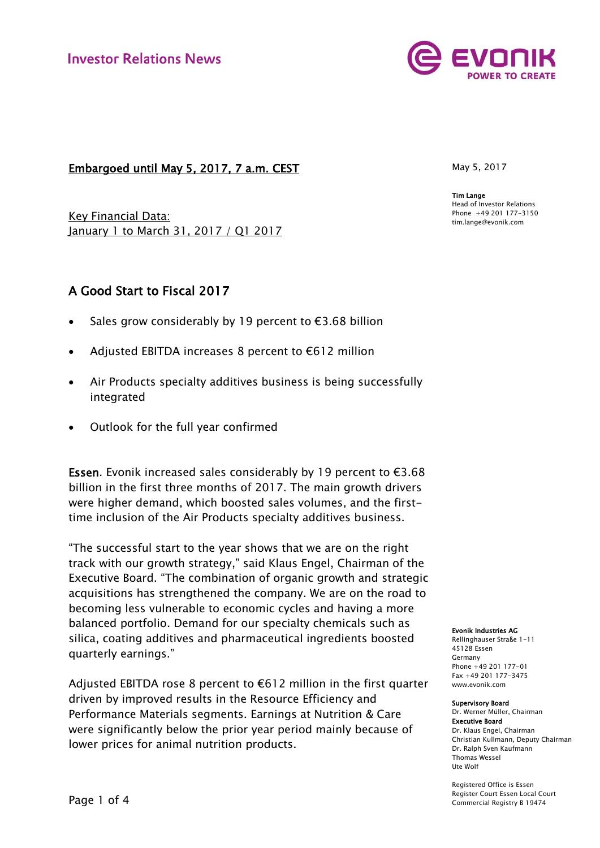

## Embargoed until May 5, 2017, 7 a.m. CEST

Key Financial Data: January 1 to March 31, 2017 / Q1 2017

# A Good Start to Fiscal 2017

- Sales grow considerably by 19 percent to €3.68 billion
- Adjusted EBITDA increases 8 percent to €612 million
- Air Products specialty additives business is being successfully integrated
- Outlook for the full year confirmed

**Essen.** Evonik increased sales considerably by 19 percent to  $\epsilon$ 3.68 billion in the first three months of 2017. The main growth drivers were higher demand, which boosted sales volumes, and the firsttime inclusion of the Air Products specialty additives business.

"The successful start to the year shows that we are on the right track with our growth strategy," said Klaus Engel, Chairman of the Executive Board. "The combination of organic growth and strategic acquisitions has strengthened the company. We are on the road to becoming less vulnerable to economic cycles and having a more balanced portfolio. Demand for our specialty chemicals such as silica, coating additives and pharmaceutical ingredients boosted quarterly earnings."

Adjusted EBITDA rose 8 percent to  $\epsilon$ 612 million in the first quarter driven by improved results in the Resource Efficiency and Performance Materials segments. Earnings at Nutrition & Care were significantly below the prior year period mainly because of lower prices for animal nutrition products.

May 5, 2017

Tim Lange Head of Investor Relations Phone +49 201 177-3150 tim.lange@evonik.com

#### Evonik Industries AG

Rellinghauser Straße 1-11 45128 Essen Germany Phone +49 201 177-01 Fax +49 201 177-3475 www.evonik.com

#### Supervisory Board

Dr. Werner Müller, Chairman Executive Board Dr. Klaus Engel, Chairman Christian Kullmann, Deputy Chairman Dr. Ralph Sven Kaufmann Thomas Wessel Ute Wolf

Registered Office is Essen Register Court Essen Local Court Commercial Registry B 19474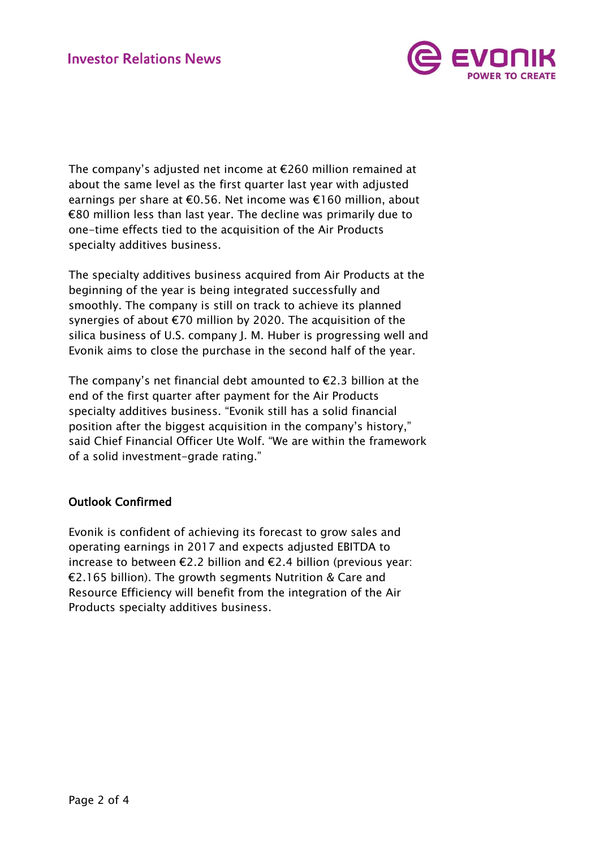

The company's adjusted net income at €260 million remained at about the same level as the first quarter last year with adjusted earnings per share at €0.56. Net income was €160 million, about €80 million less than last year. The decline was primarily due to one-time effects tied to the acquisition of the Air Products specialty additives business.

The specialty additives business acquired from Air Products at the beginning of the year is being integrated successfully and smoothly. The company is still on track to achieve its planned synergies of about €70 million by 2020. The acquisition of the silica business of U.S. company J. M. Huber is progressing well and Evonik aims to close the purchase in the second half of the year.

The company's net financial debt amounted to  $E$ 2.3 billion at the end of the first quarter after payment for the Air Products specialty additives business. "Evonik still has a solid financial position after the biggest acquisition in the company's history," said Chief Financial Officer Ute Wolf. "We are within the framework of a solid investment-grade rating."

## Outlook Confirmed

Evonik is confident of achieving its forecast to grow sales and operating earnings in 2017 and expects adjusted EBITDA to increase to between €2.2 billion and €2.4 billion (previous year: €2.165 billion). The growth segments Nutrition & Care and Resource Efficiency will benefit from the integration of the Air Products specialty additives business.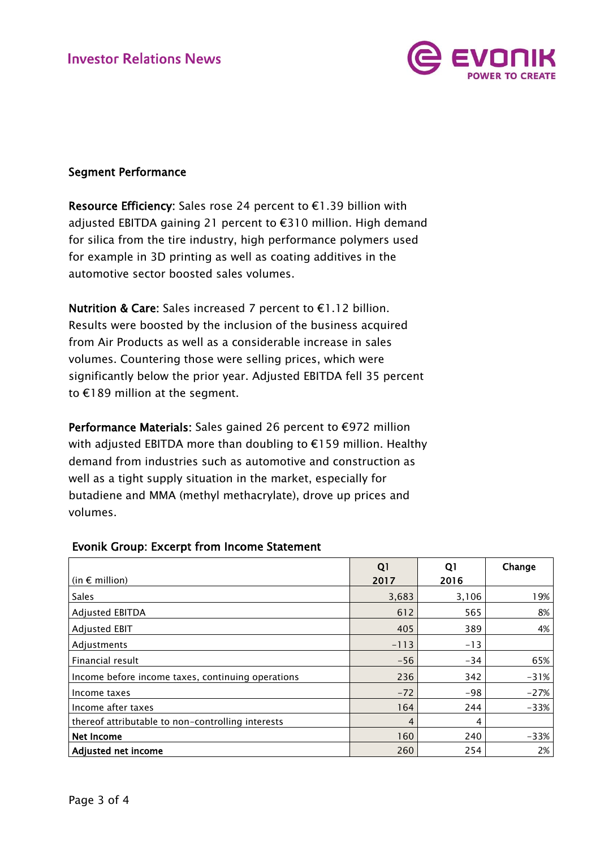

## Segment Performance

Resource Efficiency: Sales rose 24 percent to €1.39 billion with adjusted EBITDA gaining 21 percent to €310 million. High demand for silica from the tire industry, high performance polymers used for example in 3D printing as well as coating additives in the automotive sector boosted sales volumes.

Nutrition & Care: Sales increased 7 percent to €1.12 billion. Results were boosted by the inclusion of the business acquired from Air Products as well as a considerable increase in sales volumes. Countering those were selling prices, which were significantly below the prior year. Adjusted EBITDA fell 35 percent to €189 million at the segment.

Performance Materials: Sales gained 26 percent to €972 million with adjusted EBITDA more than doubling to €159 million. Healthy demand from industries such as automotive and construction as well as a tight supply situation in the market, especially for butadiene and MMA (methyl methacrylate), drove up prices and volumes.

|                                                   | Q <sub>1</sub> | Q1    | Change |
|---------------------------------------------------|----------------|-------|--------|
| (in $\epsilon$ million)                           | 2017           | 2016  |        |
| Sales                                             | 3,683          | 3,106 | 19%    |
| <b>Adjusted EBITDA</b>                            | 612            | 565   | 8%     |
| <b>Adjusted EBIT</b>                              | 405            | 389   | 4%     |
| Adjustments                                       | $-113$         | $-13$ |        |
| Financial result                                  | $-56$          | $-34$ | 65%    |
| Income before income taxes, continuing operations | 236            | 342   | $-31%$ |
| Income taxes                                      | $-72$          | $-98$ | $-27%$ |
| Income after taxes                                | 164            | 244   | $-33%$ |
| thereof attributable to non-controlling interests | 4              | 4     |        |
| Net Income                                        | 160            | 240   | $-33%$ |
| Adjusted net income                               | 260            | 254   | 2%     |

### Evonik Group: Excerpt from Income Statement